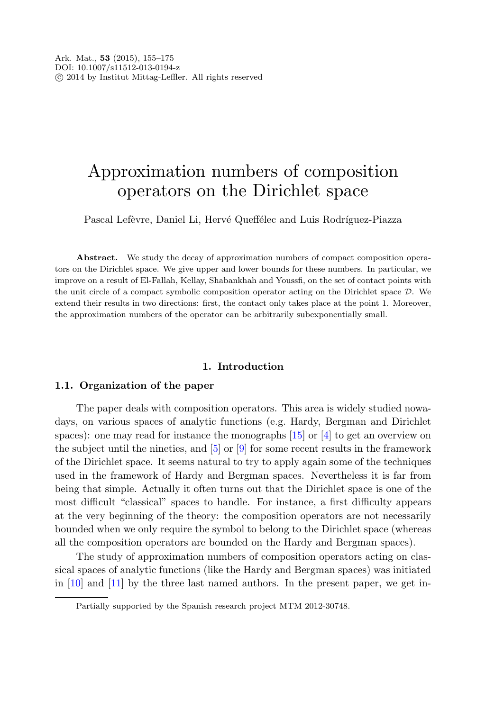# Approximation numbers of composition operators on the Dirichlet space

Pascal Lefèvre, Daniel Li, Hervé Queffélec and Luis Rodríguez-Piazza

**Abstract.** We study the decay of approximation numbers of compact composition operators on the Dirichlet space. We give upper and lower bounds for these numbers. In particular, we improve on a result of El-Fallah, Kellay, Shabankhah and Youssfi, on the set of contact points with the unit circle of a compact symbolic composition operator acting on the Dirichlet space D. We extend their results in two directions: first, the contact only takes place at the point 1. Moreover, the approximation numbers of the operator can be arbitrarily subexponentially small.

## **1. Introduction**

#### **1.1. Organization of the paper**

The paper deals with composition operators. This area is widely studied nowadays, on various spaces of analytic functions (e.g. Hardy, Bergman and Dirichlet spaces): one may read for instance the monographs [\[15](#page-20-0)] or [[4](#page-19-0)] to get an overview on the subject until the nineties, and [[5\]](#page-19-1) or [[9\]](#page-19-2) for some recent results in the framework of the Dirichlet space. It seems natural to try to apply again some of the techniques used in the framework of Hardy and Bergman spaces. Nevertheless it is far from being that simple. Actually it often turns out that the Dirichlet space is one of the most difficult "classical" spaces to handle. For instance, a first difficulty appears at the very beginning of the theory: the composition operators are not necessarily bounded when we only require the symbol to belong to the Dirichlet space (whereas all the composition operators are bounded on the Hardy and Bergman spaces).

The study of approximation numbers of composition operators acting on classical spaces of analytic functions (like the Hardy and Bergman spaces) was initiated in  $[10]$  $[10]$  and  $[11]$  by the three last named authors. In the present paper, we get in-

Partially supported by the Spanish research project MTM 2012-30748.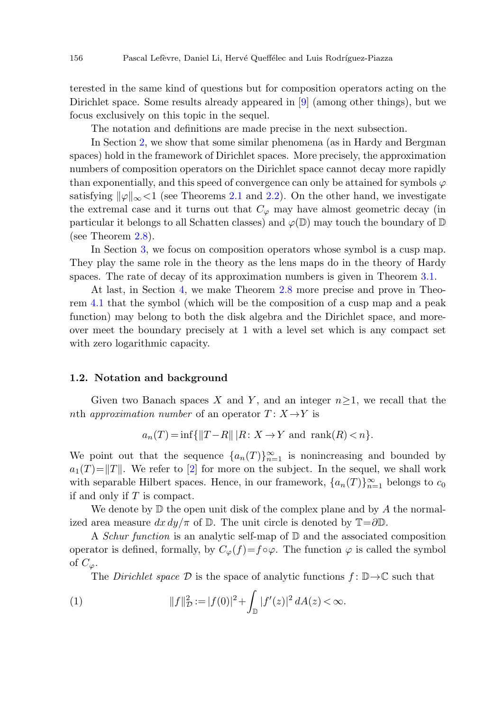terested in the same kind of questions but for composition operators acting on the Dirichlet space. Some results already appeared in [\[9](#page-19-2)] (among other things), but we focus exclusively on this topic in the sequel.

The notation and definitions are made precise in the next subsection.

In Section [2](#page-2-0), we show that some similar phenomena (as in Hardy and Bergman spaces) hold in the framework of Dirichlet spaces. More precisely, the approximation numbers of composition operators on the Dirichlet space cannot decay more rapidly than exponentially, and this speed of convergence can only be attained for symbols  $\varphi$ satisfying  $\|\varphi\|_{\infty}$  < 1 (see Theorems [2.1](#page-3-0) and [2.2](#page-5-0)). On the other hand, we investigate the extremal case and it turns out that  $C_{\varphi}$  may have almost geometric decay (in particular it belongs to all Schatten classes) and  $\varphi(\mathbb{D})$  may touch the boundary of  $\mathbb D$ (see Theorem [2.8](#page-7-0)).

In Section [3,](#page-9-0) we focus on composition operators whose symbol is a cusp map. They play the same role in the theory as the lens maps do in the theory of Hardy spaces. The rate of decay of its approximation numbers is given in Theorem [3.1](#page-10-0).

At last, in Section [4](#page-17-0), we make Theorem [2.8](#page-7-0) more precise and prove in Theorem [4.1](#page-17-1) that the symbol (which will be the composition of a cusp map and a peak function) may belong to both the disk algebra and the Dirichlet space, and moreover meet the boundary precisely at 1 with a level set which is any compact set with zero logarithmic capacity.

#### **1.2. Notation and background**

Given two Banach spaces X and Y, and an integer  $n\geq 1$ , we recall that the nth approximation number of an operator  $T: X \rightarrow Y$  is

$$
a_n(T) = \inf\{\|T - R\| \, |R \colon X \to Y \text{ and } \operatorname{rank}(R) < n\}.
$$

We point out that the sequence  $\{a_n(T)\}_{n=1}^{\infty}$  is nonincreasing and bounded by  $a_1(T)=\|T\|$ . We refer to  $[2]$  $[2]$  for more on the subject. In the sequel, we shall work with separable Hilbert spaces. Hence, in our framework,  $\{a_n(T)\}_{n=1}^{\infty}$  belongs to  $c_0$ if and only if T is compact.

We denote by  $\mathbb D$  the open unit disk of the complex plane and by A the normalized area measure  $dx dy/\pi$  of D. The unit circle is denoted by  $\mathbb{T}=\partial\mathbb{D}$ .

A *Schur function* is an analytic self-map of  $D$  and the associated composition operator is defined, formally, by  $C_{\varphi}(f)=f\circ\varphi$ . The function  $\varphi$  is called the symbol of  $C_{\varphi}$ .

The Dirichlet space  $\mathcal D$  is the space of analytic functions  $f: \mathbb D \to \mathbb C$  such that

(1) 
$$
||f||_{\mathcal{D}}^2 := |f(0)|^2 + \int_{\mathbb{D}} |f'(z)|^2 dA(z) < \infty.
$$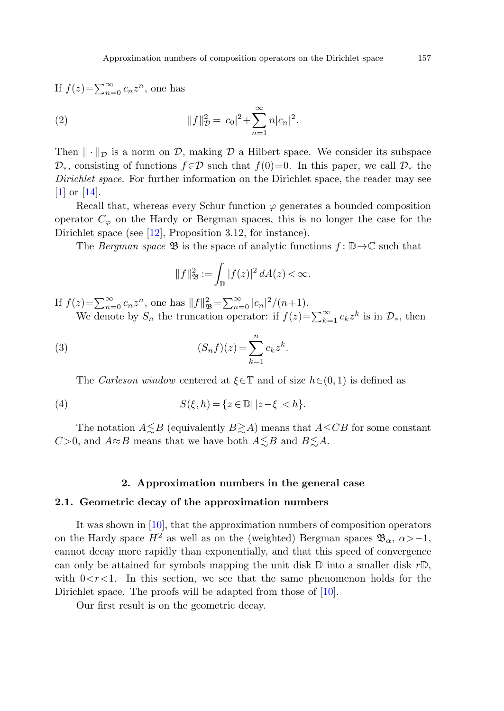If  $f(z) = \sum_{n=0}^{\infty} c_n z^n$ , one has

(2) 
$$
||f||_D^2 = |c_0|^2 + \sum_{n=1}^{\infty} n|c_n|^2.
$$

Then  $\|\cdot\|_{\mathcal{D}}$  is a norm on  $\mathcal{D}$ , making  $\mathcal D$  a Hilbert space. We consider its subspace  $\mathcal{D}_*$ , consisting of functions  $f \in \mathcal{D}$  such that  $f(0)=0$ . In this paper, we call  $\mathcal{D}_*$  the Dirichlet space. For further information on the Dirichlet space, the reader may see [\[1](#page-19-6)] or [\[14](#page-20-1)].

<span id="page-2-1"></span>Recall that, whereas every Schur function  $\varphi$  generates a bounded composition operator  $C_{\varphi}$  on the Hardy or Bergman spaces, this is no longer the case for the Dirichlet space (see [[12\]](#page-19-7), Proposition 3.12, for instance).

The Bergman space  $\mathfrak{B}$  is the space of analytic functions  $f: \mathbb{D} \to \mathbb{C}$  such that

$$
||f||_{\mathfrak{B}}^2 := \int_{\mathbb{D}} |f(z)|^2 dA(z) < \infty.
$$

If  $f(z) = \sum_{n=0}^{\infty} c_n z^n$ , one has  $||f||^2_{\mathfrak{B}} = \sum_{n=0}^{\infty} |c_n|^2/(n+1)$ .

We denote by  $S_n$  the truncation operator: if  $f(z) = \sum_{k=1}^{\infty} c_k z^k$  is in  $\mathcal{D}_*$ , then

(3) 
$$
(S_n f)(z) = \sum_{k=1}^n c_k z^k.
$$

The Carleson window centered at  $\xi \in \mathbb{T}$  and of size  $h \in (0, 1)$  is defined as

<span id="page-2-0"></span>(4) 
$$
S(\xi, h) = \{z \in \mathbb{D} | |z - \xi| < h\}.
$$

The notation  $A \lesssim B$  (equivalently  $B \gtrsim A$ ) means that  $A \leq CB$  for some constant C>0, and  $A \approx B$  means that we have both  $A \lesssim B$  and  $B \lesssim A$ .

## **2. Approximation numbers in the general case**

## **2.1. Geometric decay of the approximation numbers**

It was shown in [[10\]](#page-19-3), that the approximation numbers of composition operators on the Hardy space  $H^2$  as well as on the (weighted) Bergman spaces  $\mathfrak{B}_{\alpha}$ ,  $\alpha$ >-1, cannot decay more rapidly than exponentially, and that this speed of convergence can only be attained for symbols mapping the unit disk  $\mathbb D$  into a smaller disk  $r\mathbb D$ , with  $0 < r < 1$ . In this section, we see that the same phenomenon holds for the Dirichlet space. The proofs will be adapted from those of [[10\]](#page-19-3).

Our first result is on the geometric decay.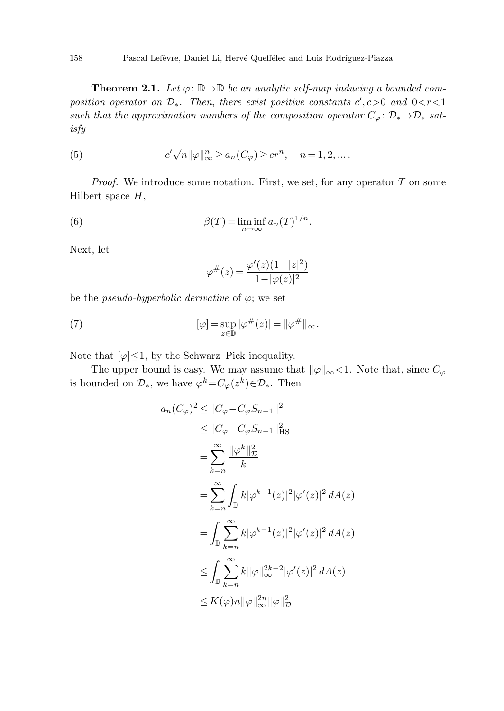<span id="page-3-1"></span><span id="page-3-0"></span>**Theorem 2.1.** Let  $\varphi: \mathbb{D} \to \mathbb{D}$  be an analytic self-map inducing a bounded composition operator on  $\mathcal{D}_*$ . Then, there exist positive constants  $c', c>0$  and  $0 < r < 1$ such that the approximation numbers of the composition operator  $C_{\varphi} : \mathcal{D}_{*} \to \mathcal{D}_{*}$  satisfy

<span id="page-3-2"></span>(5) 
$$
c' \sqrt{n} ||\varphi||_{\infty}^n \ge a_n(C_{\varphi}) \ge c r^n, \quad n = 1, 2, ...
$$

*Proof.* We introduce some notation. First, we set, for any operator  $T$  on some Hilbert space  $H$ ,

(6) 
$$
\beta(T) = \liminf_{n \to \infty} a_n(T)^{1/n}.
$$

Next, let

$$
\varphi^{\#}(z) = \frac{\varphi'(z)(1-|z|^2)}{1-|\varphi(z)|^2}
$$

be the *pseudo-hyperbolic derivative* of  $\varphi$ ; we set

(7) 
$$
[\varphi] = \sup_{z \in \mathbb{D}} |\varphi^{\#}(z)| = ||\varphi^{\#}||_{\infty}.
$$

Note that  $[\varphi] \leq 1$ , by the Schwarz–Pick inequality.

The upper bound is easy. We may assume that  $\|\varphi\|_{\infty}$  < 1. Note that, since  $C_{\varphi}$ is bounded on  $\mathcal{D}_*$ , we have  $\varphi^k = C_{\varphi}(z^k) \in \mathcal{D}_*$ . Then

$$
a_n(C_{\varphi})^2 \le ||C_{\varphi} - C_{\varphi}S_{n-1}||^2
$$
  
\n
$$
\le ||C_{\varphi} - C_{\varphi}S_{n-1}||_{\text{HS}}^2
$$
  
\n
$$
= \sum_{k=n}^{\infty} \frac{||\varphi^k||_D^2}{k}
$$
  
\n
$$
= \sum_{k=n}^{\infty} \int_{\mathbb{D}} k|\varphi^{k-1}(z)|^2|\varphi'(z)|^2 dA(z)
$$
  
\n
$$
= \int_{\mathbb{D}} \sum_{k=n}^{\infty} k|\varphi^{k-1}(z)|^2|\varphi'(z)|^2 dA(z)
$$
  
\n
$$
\le \int_{\mathbb{D}} \sum_{k=n}^{\infty} k||\varphi||_{\infty}^{2k-2}|\varphi'(z)|^2 dA(z)
$$
  
\n
$$
\le K(\varphi)n||\varphi||_{\infty}^{2n}||\varphi||_D^2
$$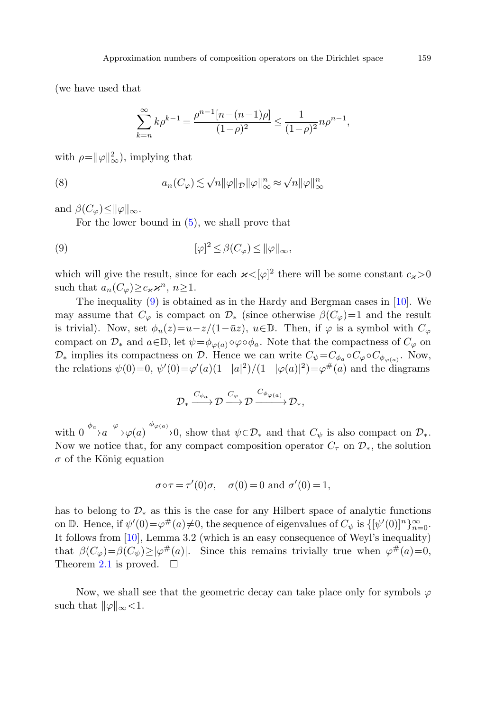(we have used that

$$
\sum_{k=n}^{\infty} k \rho^{k-1} = \frac{\rho^{n-1} [n - (n-1)\rho]}{(1-\rho)^2} \le \frac{1}{(1-\rho)^2} n \rho^{n-1},
$$

<span id="page-4-0"></span>with  $\rho = ||\varphi||_{\infty}^2$ , implying that

(8) 
$$
a_n(C_{\varphi}) \lesssim \sqrt{n} \|\varphi\|_{\mathcal{D}} \|\varphi\|_{\infty}^n \approx \sqrt{n} \|\varphi\|_{\infty}^n
$$

and  $\beta(C_{\varphi}) \leq ||\varphi||_{\infty}$ .

For the lower bound in [\(5](#page-3-1)), we shall prove that

(9) 
$$
[\varphi]^2 \leq \beta(C_{\varphi}) \leq ||\varphi||_{\infty},
$$

which will give the result, since for each  $\varkappa < [\varphi]^2$  there will be some constant  $c_{\varkappa} > 0$ such that  $a_n(C_\varphi) \geq c_{\varkappa} \varkappa^n, n \geq 1$ .

The inequality [\(9](#page-4-0)) is obtained as in the Hardy and Bergman cases in [[10\]](#page-19-3). We may assume that  $C_{\varphi}$  is compact on  $\mathcal{D}_{*}$  (since otherwise  $\beta(C_{\varphi})=1$  and the result is trivial). Now, set  $\phi_u(z)=u-z/(1-\bar{u}z)$ ,  $u\in\mathbb{D}$ . Then, if  $\varphi$  is a symbol with  $C_\varphi$ compact on  $\mathcal{D}_*$  and  $a \in \mathbb{D}$ , let  $\psi = \phi_{\varphi(a)} \circ \varphi \circ \phi_a$ . Note that the compactness of  $C_{\varphi}$  on  $\mathcal{D}_*$  implies its compactness on  $\mathcal{D}$ . Hence we can write  $C_{\psi} = C_{\phi_a} \circ C_{\varphi} \circ C_{\phi_{\varphi(a)}}$ . Now, the relations  $\psi(0)=0$ ,  $\psi'(0)=\varphi'(a)(1-|a|^2)/(1-|\varphi(a)|^2)=\varphi^{\#}(a)$  and the diagrams

$$
\mathcal{D}_* \xrightarrow{C_{\phi_a}} \mathcal{D} \xrightarrow{C_{\varphi}} \mathcal{D} \xrightarrow{C_{\phi_{\varphi(a)}}} \mathcal{D}_*,
$$

with  $0 \xrightarrow{\phi_a} a \xrightarrow{\varphi} \varphi(a) \xrightarrow{\phi_{\varphi(a)}} 0$ , show that  $\psi \in \mathcal{D}_*$  and that  $C_{\psi}$  is also compact on  $\mathcal{D}_*$ . Now we notice that, for any compact composition operator  $C_{\tau}$  on  $\mathcal{D}_{*}$ , the solution  $\sigma$  of the König equation

$$
\sigma \circ \tau = \tau'(0)\sigma
$$
,  $\sigma(0) = 0$  and  $\sigma'(0) = 1$ ,

has to belong to  $\mathcal{D}_{*}$  as this is the case for any Hilbert space of analytic functions on D. Hence, if  $\psi'(0) = \varphi^{\#}(a) \neq 0$ , the sequence of eigenvalues of  $C_{\psi}$  is  $\{[\psi'(0)]^n\}_{n=0}^{\infty}$ . It follows from [\[10](#page-19-3)], Lemma 3.2 (which is an easy consequence of Weyl's inequality) that  $\beta(C_{\varphi})=\beta(C_{\psi})\geq |\varphi^{\#}(a)|$ . Since this remains trivially true when  $\varphi^{\#}(a)=0$ , Theorem [2.1](#page-3-0) is proved.  $\square$ 

Now, we shall see that the geometric decay can take place only for symbols  $\varphi$ such that  $\|\varphi\|_{\infty}$  < 1.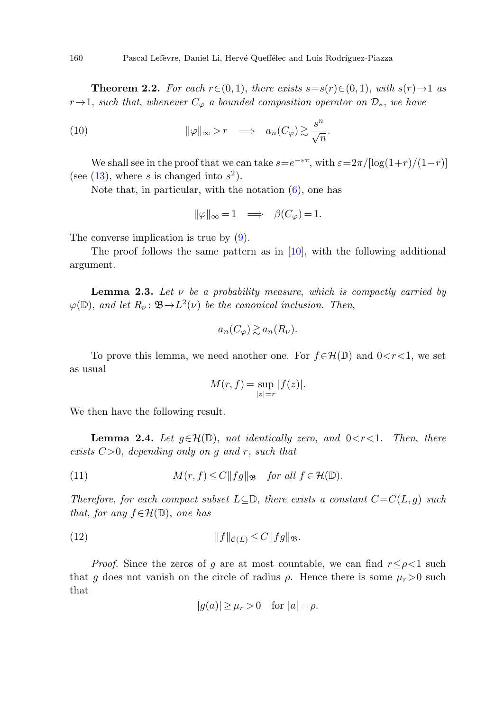<span id="page-5-0"></span>**Theorem 2.2.** For each  $r \in (0, 1)$ , there exists  $s = s(r) \in (0, 1)$ , with  $s(r) \to 1$  as r $\rightarrow$ 1, such that, whenever  $C_{\varphi}$  a bounded composition operator on  $\mathcal{D}_{*}$ , we have

(10) 
$$
\|\varphi\|_{\infty} > r \implies a_n(C_{\varphi}) \gtrsim \frac{s^n}{\sqrt{n}}.
$$

We shall see in the proof that we can take  $s=e^{-\varepsilon\pi}$ , with  $\varepsilon=2\pi/[\log(1+r)/(1-r)]$ (see  $(13)$  $(13)$ , where s is changed into  $s^2$ ).

<span id="page-5-3"></span>Note that, in particular, with the notation  $(6)$  $(6)$ , one has

$$
\|\varphi\|_{\infty}=1\quad\Longrightarrow\quad \beta(C_{\varphi})=1.
$$

The converse implication is true by ([9\)](#page-4-0).

The proof follows the same pattern as in  $[10]$  $[10]$ , with the following additional argument.

**Lemma 2.3.** Let  $\nu$  be a probability measure, which is compactly carried by  $\varphi(\mathbb{D})$ , and let  $R_{\nu} \colon \mathfrak{B} \to L^2(\nu)$  be the canonical inclusion. Then,

$$
a_n(C_\varphi)\gtrsim a_n(R_\nu).
$$

<span id="page-5-2"></span><span id="page-5-1"></span>To prove this lemma, we need another one. For  $f \in \mathcal{H}(\mathbb{D})$  and  $0 < r < 1$ , we set as usual

$$
M(r, f) = \sup_{|z|=r} |f(z)|.
$$

We then have the following result.

**Lemma 2.4.** Let  $g \in \mathcal{H}(\mathbb{D})$ , not identically zero, and  $0 \lt r \lt 1$ . Then, there exists  $C>0$ , depending only on g and r, such that

(11) 
$$
M(r, f) \le C \|fg\|_{\mathfrak{B}} \quad \text{for all } f \in \mathcal{H}(\mathbb{D}).
$$

Therefore, for each compact subset  $L\subseteq\mathbb{D}$ , there exists a constant  $C=C(L, q)$  such that, for any  $f \in \mathcal{H}(\mathbb{D})$ , one has

$$
(12) \t\t\t\t\t||f||_{\mathcal{C}(L)} \leq C||fg||_{\mathfrak{B}}.
$$

*Proof.* Since the zeros of g are at most countable, we can find  $r \leq \rho < 1$  such that g does not vanish on the circle of radius  $\rho$ . Hence there is some  $\mu_r > 0$  such that

$$
|g(a)| \ge \mu_r > 0 \quad \text{for } |a| = \rho.
$$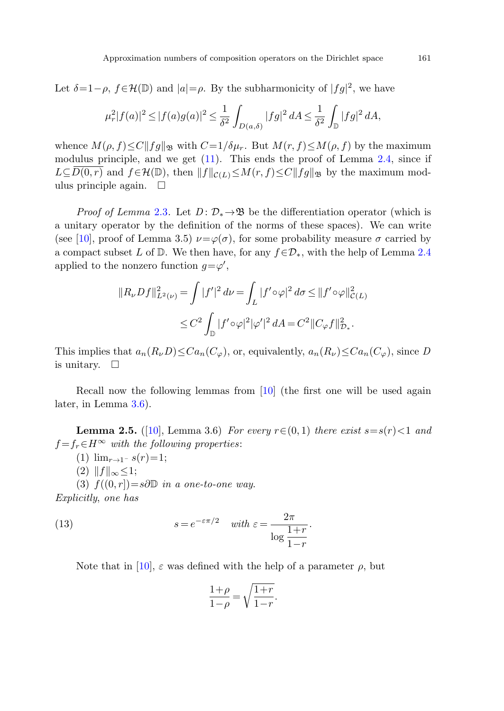Let  $\delta=1-\rho$ ,  $f \in \mathcal{H}(\mathbb{D})$  and  $|a|=\rho$ . By the subharmonicity of  $|fg|^2$ , we have

$$
\mu_r^2 |f(a)|^2 \le |f(a)g(a)|^2 \le \frac{1}{\delta^2} \int_{D(a,\delta)} |fg|^2 dA \le \frac{1}{\delta^2} \int_{\mathbb{D}} |fg|^2 dA,
$$

whence  $M(\rho, f) \leq C ||fg||_{\mathfrak{B}}$  with  $C = 1/\delta\mu_r$ . But  $M(r, f) \leq M(\rho, f)$  by the maximum modulus principle, and we get  $(11)$  $(11)$ . This ends the proof of Lemma [2.4,](#page-5-2) since if  $L\subseteq \overline{D(0,r)}$  and  $f\in\mathcal{H}(\mathbb{D})$ , then  $||f||_{\mathcal{C}(L)}\leq M(r, f)\leq C||fg||_{\mathfrak{B}}$  by the maximum modulus principle again.  $\square$ 

*Proof of Lemma [2.3](#page-5-3).* Let  $D: \mathcal{D}_* \to \mathfrak{B}$  be the differentiation operator (which is a unitary operator by the definition of the norms of these spaces). We can write (see [\[10](#page-19-3)], proof of Lemma 3.5)  $\nu = \varphi(\sigma)$ , for some probability measure  $\sigma$  carried by a compact subset L of D. We then have, for any  $f \in \mathcal{D}_*$ , with the help of Lemma [2.4](#page-5-2) applied to the nonzero function  $g = \varphi'$ ,

<span id="page-6-1"></span>
$$
||R_{\nu}Df||_{L^{2}(\nu)}^{2} = \int |f'|^{2} d\nu = \int_{L} |f' \circ \varphi|^{2} d\sigma \le ||f' \circ \varphi||_{\mathcal{C}(L)}^{2}
$$
  

$$
\le C^{2} \int_{\mathbb{D}} |f' \circ \varphi|^{2} |\varphi'|^{2} dA = C^{2} ||C_{\varphi}f||_{\mathcal{D}_{*}}^{2}.
$$

This implies that  $a_n(R_\nu D) \leq C a_n(C_\varphi)$ , or, equivalently,  $a_n(R_\nu) \leq C a_n(C_\varphi)$ , since D is unitary.  $\square$ 

Recall now the following lemmas from [\[10](#page-19-3)] (the first one will be used again later, in Lemma [3.6](#page-16-0)).

<span id="page-6-0"></span>**Lemma 2.5.** ([[10\]](#page-19-3), Lemma 3.6) For every  $r \in (0, 1)$  there exist  $s = s(r) < 1$  and  $f = f_r \in H^\infty$  with the following properties:

- (1)  $\lim_{r\to 1^-} s(r) = 1;$
- $(2)$   $||f||_{\infty} \leq 1;$

(3)  $f((0, r]) = s \partial \mathbb{D}$  in a one-to-one way.

Explicitly, one has

(13) 
$$
s = e^{-\varepsilon \pi/2} \quad \text{with } \varepsilon = \frac{2\pi}{\log \frac{1+r}{1-r}}.
$$

Note that in [[10\]](#page-19-3),  $\varepsilon$  was defined with the help of a parameter  $\rho$ , but

$$
\frac{1+\rho}{1-\rho} = \sqrt{\frac{1+r}{1-r}}.
$$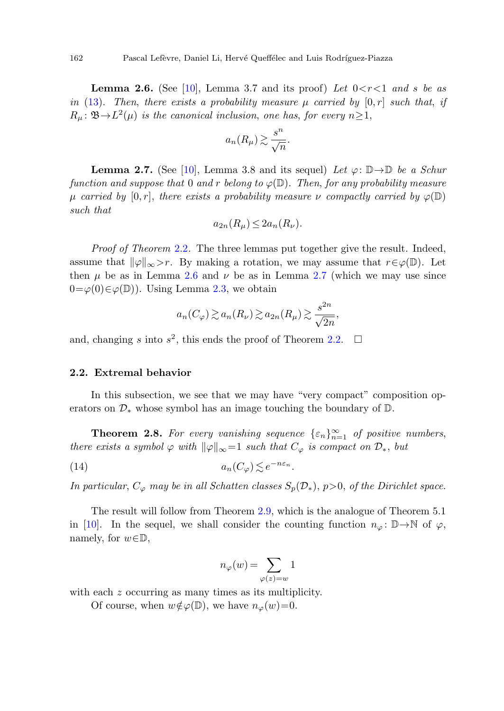**Lemma 2.6.** (See [[10\]](#page-19-3), Lemma 3.7 and its proof) Let  $0 < r < 1$  and s be as in [\(13](#page-6-0)). Then, there exists a probability measure  $\mu$  carried by  $[0, r]$  such that, if  $R_\mu: \mathfrak{B} \to L^2(\mu)$  is the canonical inclusion, one has, for every  $n \geq 1$ ,

<span id="page-7-2"></span><span id="page-7-1"></span>
$$
a_n(R_\mu) \gtrsim \frac{s^n}{\sqrt{n}}.
$$

**Lemma 2.7.** (See [[10\]](#page-19-3), Lemma 3.8 and its sequel) Let  $\varphi: \mathbb{D} \to \mathbb{D}$  be a Schur function and suppose that 0 and r belong to  $\varphi(\mathbb{D})$ . Then, for any probability measure μ carried by  $[0, r]$ , there exists a probability measure v compactly carried by  $\varphi(\mathbb{D})$ such that

$$
a_{2n}(R_{\mu}) \leq 2a_n(R_{\nu}).
$$

Proof of Theorem [2.2](#page-5-0). The three lemmas put together give the result. Indeed, assume that  $\|\varphi\|_{\infty} > r$ . By making a rotation, we may assume that  $r \in \varphi(\mathbb{D})$ . Let then  $\mu$  be as in Lemma [2.6](#page-7-1) and  $\nu$  be as in Lemma [2.7](#page-7-2) (which we may use since  $0 = \varphi(0) \in \varphi(\mathbb{D})$ . Using Lemma [2.3](#page-5-3), we obtain

$$
a_n(C_\varphi) \gtrsim a_n(R_\nu) \gtrsim a_{2n}(R_\mu) \gtrsim \frac{s^{2n}}{\sqrt{2n}},
$$

<span id="page-7-0"></span>and, changing s into  $s^2$ , this ends the proof of Theorem [2.2.](#page-5-0)  $\Box$ 

## **2.2. Extremal behavior**

In this subsection, we see that we may have "very compact" composition operators on  $\mathcal{D}_*$  whose symbol has an image touching the boundary of  $\mathbb{D}$ .

**Theorem 2.8.** For every vanishing sequence  $\{\varepsilon_n\}_{n=1}^{\infty}$  of positive numbers, there exists a symbol  $\varphi$  with  $\|\varphi\|_{\infty}=1$  such that  $C_{\varphi}$  is compact on  $\mathcal{D}_{*}$ , but

(14) 
$$
a_n(C_\varphi) \lesssim e^{-n\varepsilon_n}.
$$

In particular,  $C_{\varphi}$  may be in all Schatten classes  $S_p(\mathcal{D}_*), p>0$ , of the Dirichlet space.

The result will follow from Theorem [2.9](#page-8-0), which is the analogue of Theorem 5.1 in [\[10](#page-19-3)]. In the sequel, we shall consider the counting function  $n_{\varphi}$ :  $\mathbb{D} \rightarrow \mathbb{N}$  of  $\varphi$ , namely, for  $w \in \mathbb{D}$ ,

$$
n_\varphi(w)=\sum_{\varphi(z)=w}1
$$

with each z occurring as many times as its multiplicity.

Of course, when  $w \notin \varphi(\mathbb{D})$ , we have  $n_{\varphi}(w)=0$ .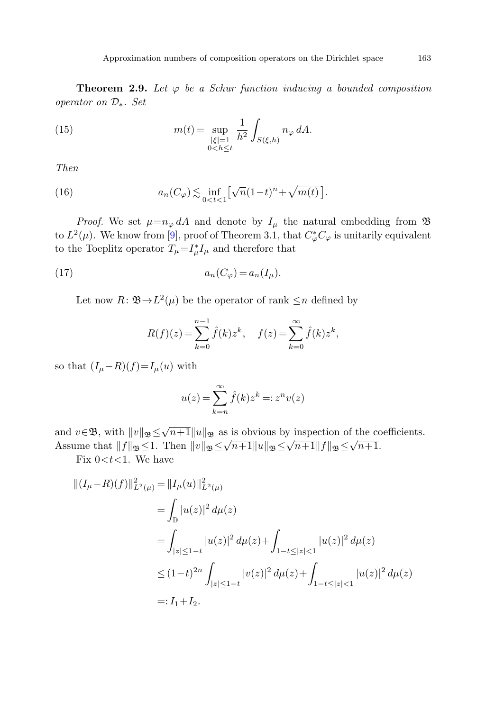<span id="page-8-2"></span><span id="page-8-1"></span><span id="page-8-0"></span>**Theorem 2.9.** Let  $\varphi$  be a Schur function inducing a bounded composition operator on D∗. Set

(15) 
$$
m(t) = \sup_{\substack{|\xi|=1\\0
$$

Then

(16) 
$$
a_n(C_\varphi) \lesssim \inf_{0 < t < 1} \left[ \sqrt{n} (1-t)^n + \sqrt{m(t)} \right].
$$

*Proof.* We set  $\mu = n_{\varphi} dA$  and denote by  $I_{\mu}$  the natural embedding from  $\mathfrak{B}$ to  $L^2(\mu)$ . We know from [[9\]](#page-19-2), proof of Theorem 3.1, that  $C^*_{\varphi}C_{\varphi}$  is unitarily equivalent to the Toeplitz operator  $T_{\mu} = I_{\mu}^{*} I_{\mu}$  and therefore that

$$
(17) \t\t\t a_n(C_\varphi) = a_n(I_\mu).
$$

Let now  $R: \mathfrak{B} \to L^2(\mu)$  be the operator of rank  $\leq n$  defined by

$$
R(f)(z) = \sum_{k=0}^{n-1} \hat{f}(k) z^k, \quad f(z) = \sum_{k=0}^{\infty} \hat{f}(k) z^k,
$$

so that  $(I_\mu-R)(f)=I_\mu(u)$  with

$$
u(z) = \sum_{k=n}^{\infty} \hat{f}(k) z^k =: z^n v(z)
$$

and  $v \in \mathfrak{B}$ , with  $||v||_{\mathfrak{B}} \le \sqrt{n+1} ||u||_{\mathfrak{B}}$  as is obvious by inspection of the coefficients. Assume that  $||f||_{\mathfrak{B}} \leq \sqrt{n+1} ||u||_{\mathfrak{B}}$  as is solvious by inspection of the contract  $\Delta s$ .

Fix  $0 < t < 1$ . We have

$$
\begin{aligned} ||(I_{\mu} - R)(f)||_{L^2(\mu)}^2 &= ||I_{\mu}(u)||_{L^2(\mu)}^2 \\ &= \int_{\mathbb{D}} |u(z)|^2 d\mu(z) \\ &= \int_{|z| \le 1-t} |u(z)|^2 d\mu(z) + \int_{1-t \le |z| < 1} |u(z)|^2 d\mu(z) \\ &\le (1-t)^{2n} \int_{|z| \le 1-t} |v(z)|^2 d\mu(z) + \int_{1-t \le |z| < 1} |u(z)|^2 d\mu(z) \\ &=: I_1 + I_2. \end{aligned}
$$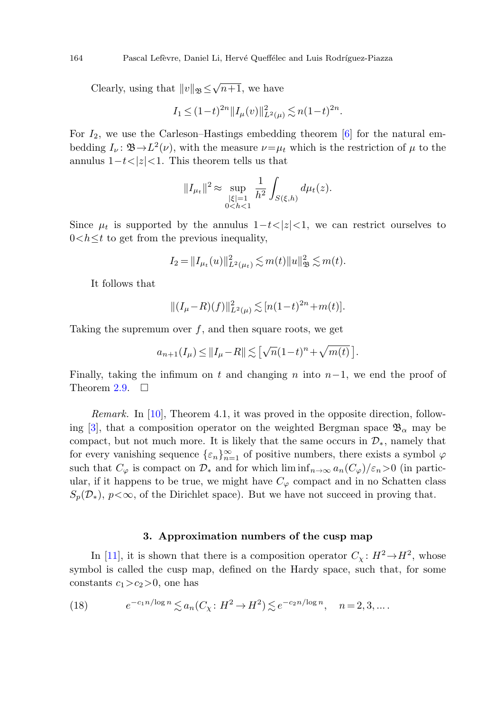Clearly, using that  $||v||_{\mathfrak{B}} \leq \sqrt{n+1}$ , we have

$$
I_1 \le (1-t)^{2n} \|I_\mu(v)\|_{L^2(\mu)}^2 \lesssim n(1-t)^{2n}.
$$

For  $I_2$ , we use the Carleson–Hastings embedding theorem [[6\]](#page-19-8) for the natural embedding  $I_{\nu}$ :  $\mathfrak{B} \rightarrow L^2(\nu)$ , with the measure  $\nu = \mu_t$  which is the restriction of  $\mu$  to the annulus  $1-t<|z|<1$ . This theorem tells us that

$$
||I_{\mu_t}||^2 \approx \sup_{\substack{|\xi|=1\\0
$$

Since  $\mu_t$  is supported by the annulus  $1-t<|z|<1$ , we can restrict ourselves to  $0 < h \leq t$  to get from the previous inequality,

$$
I_2 = ||I_{\mu_t}(u)||^2_{L^2(\mu_t)} \lesssim m(t) ||u||^2_{\mathfrak{B}} \lesssim m(t).
$$

It follows that

$$
||(I_{\mu}-R)(f)||_{L^{2}(\mu)}^{2} \lesssim [n(1-t)^{2n}+m(t)].
$$

Taking the supremum over  $f$ , and then square roots, we get

$$
a_{n+1}(I_{\mu}) \leq ||I_{\mu} - R|| \lesssim [\sqrt{n}(1-t)^n + \sqrt{m(t)}].
$$

Finally, taking the infimum on t and changing n into  $n-1$ , we end the proof of Theorem [2.9](#page-8-0).  $\Box$ 

<span id="page-9-0"></span>Remark. In [[10\]](#page-19-3), Theorem 4.1, it was proved in the opposite direction, follow-ing [[3\]](#page-19-9), that a composition operator on the weighted Bergman space  $\mathfrak{B}_{\alpha}$  may be compact, but not much more. It is likely that the same occurs in  $\mathcal{D}_{*}$ , namely that for every vanishing sequence  $\{\varepsilon_n\}_{n=1}^{\infty}$  of positive numbers, there exists a symbol  $\varphi$ such that  $C_{\varphi}$  is compact on  $\mathcal{D}_{*}$  and for which  $\liminf_{n\to\infty} a_n(C_{\varphi})/\varepsilon_n>0$  (in particular, if it happens to be true, we might have  $C_{\varphi}$  compact and in no Schatten class  $S_p(\mathcal{D}_*)$ ,  $p<\infty$ , of the Dirichlet space). But we have not succeed in proving that.

## **3. Approximation numbers of the cusp map**

In [[11\]](#page-19-4), it is shown that there is a composition operator  $C_\chi : H^2 \to H^2$ , whose symbol is called the cusp map, defined on the Hardy space, such that, for some constants  $c_1>c_2>0$ , one has

(18) 
$$
e^{-c_1 n/\log n} \lesssim a_n(C_\chi : H^2 \to H^2) \lesssim e^{-c_2 n/\log n}, \quad n = 2, 3, ...
$$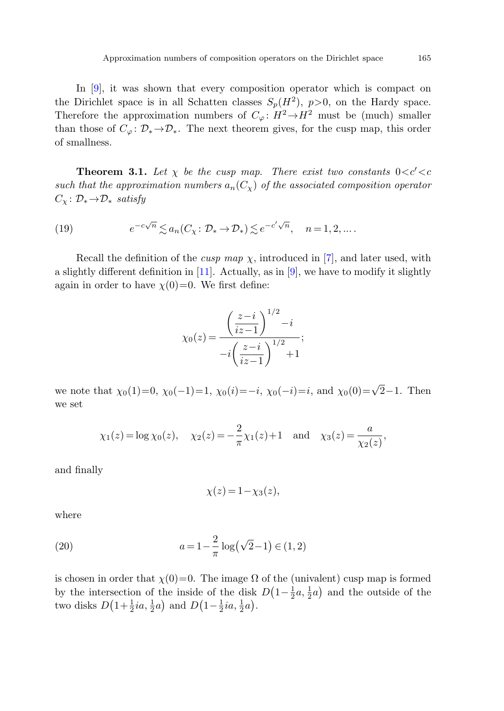<span id="page-10-0"></span>In [[9\]](#page-19-2), it was shown that every composition operator which is compact on the Dirichlet space is in all Schatten classes  $S_n(H^2)$ ,  $p>0$ , on the Hardy space. Therefore the approximation numbers of  $C_{\varphi} : H^2 \to H^2$  must be (much) smaller than those of  $C_{\varphi} \colon \mathcal{D}_{*} \to \mathcal{D}_{*}$ . The next theorem gives, for the cusp map, this order of smallness.

<span id="page-10-1"></span>**Theorem 3.1.** Let  $\chi$  be the cusp map. There exist two constants  $0 < c' < c$ such that the approximation numbers  $a_n(C_\chi)$  of the associated composition operator  $C_{\chi} : \mathcal{D}_{*} \rightarrow \mathcal{D}_{*}$  satisfy

(19) 
$$
e^{-c\sqrt{n}} \lesssim a_n(C_\chi \colon \mathcal{D}_* \to \mathcal{D}_*) \lesssim e^{-c'\sqrt{n}}, \quad n = 1, 2, \dots.
$$

Recall the definition of the *cusp map*  $\chi$ , introduced in [\[7\]](#page-19-10), and later used, with a slightly different definition in  $[11]$  $[11]$  $[11]$ . Actually, as in  $[9]$  $[9]$ , we have to modify it slightly again in order to have  $\chi(0)=0$ . We first define:

$$
\chi_0(z) = \frac{\left(\frac{z-i}{iz-1}\right)^{1/2} - i}{-i\left(\frac{z-i}{iz-1}\right)^{1/2} + 1};
$$

we note that  $\chi_0(1)=0$ ,  $\chi_0(-1)=1$ ,  $\chi_0(i)=-i$ ,  $\chi_0(-i)=i$ , and  $\chi_0(0)=\sqrt{2}-1$ . Then we set

$$
\chi_1(z) = \log \chi_0(z), \quad \chi_2(z) = -\frac{2}{\pi} \chi_1(z) + 1 \quad \text{and} \quad \chi_3(z) = \frac{a}{\chi_2(z)},
$$

<span id="page-10-2"></span>and finally

$$
\chi(z) = 1 - \chi_3(z),
$$

where

(20) 
$$
a = 1 - \frac{2}{\pi} \log(\sqrt{2} - 1) \in (1, 2)
$$

is chosen in order that  $\chi(0)=0$ . The image  $\Omega$  of the (univalent) cusp map is formed by the intersection of the inside of the disk  $D(1-\frac{1}{2}a,\frac{1}{2}a)$  and the outside of the two disks  $D\left(1+\frac{1}{2}ia,\frac{1}{2}a\right)$  and  $D\left(1-\frac{1}{2}ia,\frac{1}{2}a\right)$ .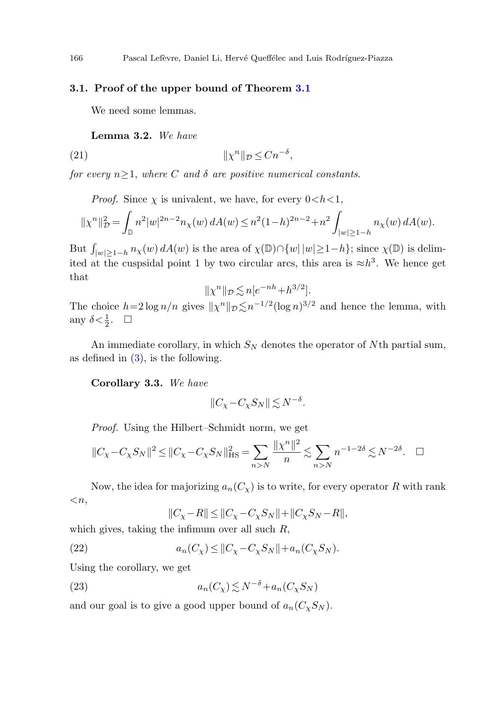## **3.1. Proof of the upper bound of Theorem [3.1](#page-10-0)**

We need some lemmas.

**Lemma 3***.***2.** We have

(21) χ<sup>n</sup>-<sup>D</sup> ≤ Cn<sup>−</sup><sup>δ</sup>,

for every  $n \geq 1$ , where C and  $\delta$  are positive numerical constants.

*Proof.* Since  $\chi$  is univalent, we have, for every  $0 < h < 1$ ,

$$
||\chi^n||_D^2 = \int_{\mathbb{D}} n^2 |w|^{2n-2} n_\chi(w) dA(w) \le n^2 (1-h)^{2n-2} + n^2 \int_{|w| \ge 1-h} n_\chi(w) dA(w).
$$

But  $\int_{|w|\geq 1-h} n_\chi(w) dA(w)$  is the area of  $\chi(\mathbb{D}) \cap \{w | |w|\geq 1-h\}$ ; since  $\chi(\mathbb{D})$  is delimited at the cuspsidal point 1 by two circular arcs, this area is  $\approx h^3$ . We hence get that

$$
\|\chi^n\|_{\mathcal{D}} \lesssim n[e^{-nh} + h^{3/2}].
$$

The choice  $h=2\log n/n$  gives  $\|\chi^n\|_{\mathcal{D}} \lesssim n^{-1/2}(\log n)^{3/2}$  and hence the lemma, with any  $\delta < \frac{1}{2}$ .  $\Box$ 

An immediate corollary, in which  $S_N$  denotes the operator of Nth partial sum, as defined in  $(3)$  $(3)$ , is the following.

**Corollary 3***.***3.** We have

$$
||C_{\chi} - C_{\chi} S_{N}|| \lesssim N^{-\delta}.
$$

Proof. Using the Hilbert–Schmidt norm, we get

$$
||C_{\chi} - C_{\chi} S_N||^2 \le ||C_{\chi} - C_{\chi} S_N||_{\text{HS}}^2 = \sum_{n > N} \frac{||\chi^n||^2}{n} \lesssim \sum_{n > N} n^{-1 - 2\delta} \lesssim N^{-2\delta}. \quad \Box
$$

Now, the idea for majorizing  $a_n(C_\chi)$  is to write, for every operator R with rank  $\langle n,$ 

$$
||C_{\chi} - R|| \le ||C_{\chi} - C_{\chi} S_{N}|| + ||C_{\chi} S_{N} - R||,
$$

which gives, taking the infimum over all such  $R$ ,

(22)  $a_n(C_\chi) \leq ||C_\chi - C_\chi S_N|| + a_n(C_\chi S_N).$ 

Using the corollary, we get

(23) 
$$
a_n(C_\chi) \lesssim N^{-\delta} + a_n(C_\chi S_N)
$$

and our goal is to give a good upper bound of  $a_n(C_{\chi}S_{N}).$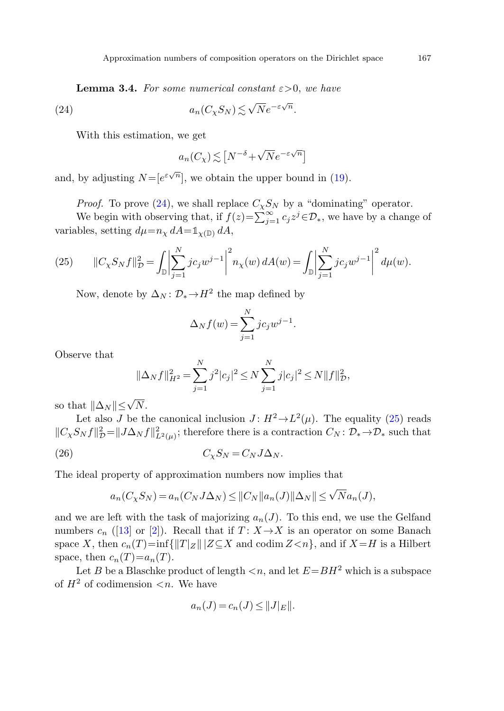**Lemma 3.4.** For some numerical constant  $\varepsilon > 0$ , we have

<span id="page-12-0"></span>(24) 
$$
a_n(C_\chi S_N) \lesssim \sqrt{N} e^{-\varepsilon \sqrt{n}}.
$$

With this estimation, we get

$$
a_n(C_\chi) \lesssim \left[ N^{-\delta} + \sqrt{N} e^{-\varepsilon \sqrt{n}} \right]
$$

<span id="page-12-1"></span>and, by adjusting  $N = [e^{\varepsilon \sqrt{n}}]$ , we obtain the upper bound in ([19\)](#page-10-1).

*Proof.* To prove [\(24](#page-12-0)), we shall replace  $C_{\chi}S_{N}$  by a "dominating" operator.

We begin with observing that, if  $f(z) = \sum_{j=1}^{\infty} c_j z^j \in \mathcal{D}_*$ , we have by a change of variables, setting  $d\mu = n_{\chi} dA = \mathbb{1}_{\chi(\mathbb{D})} dA$ ,

(25) 
$$
\|C_{\chi}S_{N}f\|_{\mathcal{D}}^{2} = \int_{\mathbb{D}}\left|\sum_{j=1}^{N}jc_{j}w^{j-1}\right|^{2} n_{\chi}(w) dA(w) = \int_{\mathbb{D}}\left|\sum_{j=1}^{N}jc_{j}w^{j-1}\right|^{2} d\mu(w).
$$

Now, denote by  $\Delta_N : \mathcal{D}_* \to H^2$  the map defined by

$$
\Delta_N f(w) = \sum_{j=1}^N j c_j w^{j-1}.
$$

Observe that

$$
\|\Delta_N f\|_{H^2}^2 = \sum_{j=1}^N j^2 |c_j|^2 \le N \sum_{j=1}^N j|c_j|^2 \le N \|f\|_{\mathcal{D}}^2,
$$

so that  $\|\Delta_N\| \leq \sqrt{N}$ .

Let also J be the canonical inclusion  $J: H^2 \to L^2(\mu)$ . The equality [\(25](#page-12-1)) reads  $||C_{\chi}S_N f||_{\mathcal{D}}^2 = ||J\Delta_N f||_{L^2(\mu)}^2$ ; therefore there is a contraction  $C_N : \mathcal{D}_* \to \mathcal{D}_*$  such that

$$
(26) \tC_{\chi}S_N = C_NJ\Delta_N.
$$

The ideal property of approximation numbers now implies that

$$
a_n(C_X S_N) = a_n(C_N J \Delta_N) \le ||C_N|| a_n(J)||\Delta_N|| \le \sqrt{N} a_n(J),
$$

and we are left with the task of majorizing  $a_n(J)$ . To this end, we use the Gelfand numbers  $c_n$  ([\[13](#page-20-2)] or [\[2](#page-19-5)]). Recall that if  $T: X \rightarrow X$  is an operator on some Banach space X, then  $c_n(T)$ =inf{ $\|T|_Z$ || $Z \subseteq X$  and codim  $Z \le n$ }, and if  $X = H$  is a Hilbert space, then  $c_n(T)=a_n(T)$ .

Let B be a Blaschke product of length  $\langle n, \text{ and } \text{let } E = BH^2 \text{ which is a subspace}$ of  $H^2$  of codimension  $\lt n$ . We have

$$
a_n(J) = c_n(J) \leq ||J||_E||.
$$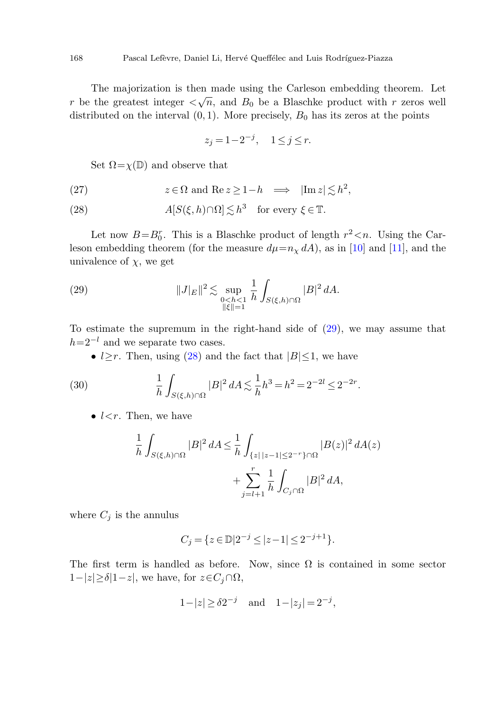<span id="page-13-1"></span>The majorization is then made using the Carleson embedding theorem. Let r be the greatest integer  $\langle \sqrt{n}$ , and  $B_0$  be a Blaschke product with r zeros well distributed on the interval  $(0, 1)$ . More precisely,  $B_0$  has its zeros at the points

$$
z_j = 1 - 2^{-j}, \quad 1 \le j \le r.
$$

Set  $\Omega = \chi(\mathbb{D})$  and observe that

<span id="page-13-0"></span>(27)  $z \in \Omega \text{ and } \text{Re } z \geq 1 - h \implies |\text{Im } z| \lesssim h^2,$ 

(28) 
$$
A[S(\xi, h)\cap\Omega] \lesssim h^3 \quad \text{for every } \xi \in \mathbb{T}.
$$

Let now  $B=B_0^r$ . This is a Blaschke product of length  $r^2 < n$ . Using the Carleson embedding theorem (for the measure  $d\mu = n_x dA$ ), as in [\[10\]](#page-19-3) and [[11\]](#page-19-4), and the univalence of  $\chi$ , we get

<span id="page-13-2"></span>(29) 
$$
||J|_{E}||^{2} \lesssim \sup_{\substack{0 < h < 1 \\ ||\xi|| = 1}} \frac{1}{h} \int_{S(\xi, h) \cap \Omega} |B|^{2} dA.
$$

To estimate the supremum in the right-hand side of [\(29](#page-13-0)), we may assume that  $h=2^{-l}$  and we separate two cases.

•  $l \geq r$ . Then, using [\(28](#page-13-1)) and the fact that  $|B| \leq 1$ , we have

(30) 
$$
\frac{1}{h} \int_{S(\xi,h)\cap\Omega} |B|^2 dA \lesssim \frac{1}{h} h^3 = h^2 = 2^{-2l} \le 2^{-2r}.
$$

•  $l < r$ . Then, we have

$$
\frac{1}{h} \int_{S(\xi,h)\cap\Omega} |B|^2 dA \le \frac{1}{h} \int_{\{z \mid |z-1| \le 2^{-r}\}\cap\Omega} |B(z)|^2 dA(z) \n+ \sum_{j=l+1}^r \frac{1}{h} \int_{C_j \cap\Omega} |B|^2 dA,
$$

where  $C_j$  is the annulus

$$
C_j = \{ z \in \mathbb{D} | 2^{-j} \le |z - 1| \le 2^{-j+1} \}.
$$

The first term is handled as before. Now, since  $\Omega$  is contained in some sector  $1-|z| \ge \delta |1-z|$ , we have, for  $z \in C_j \cap \Omega$ ,

$$
1-|z| \ge \delta 2^{-j}
$$
 and  $1-|z_j| = 2^{-j}$ ,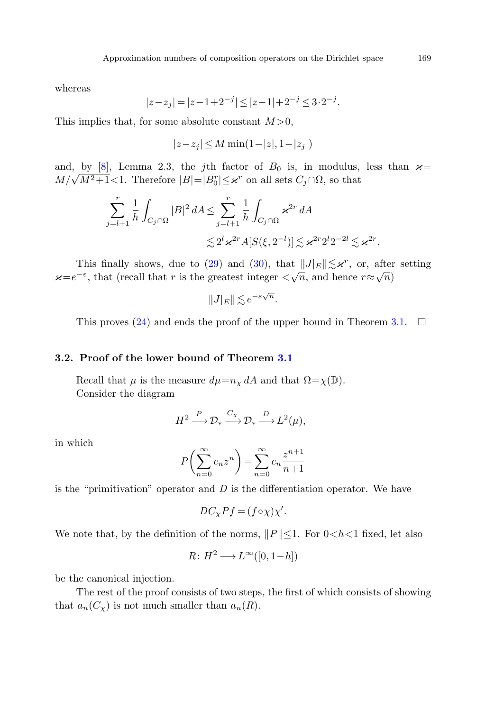whereas

$$
|z - z_j| = |z - 1 + 2^{-j}| \le |z - 1| + 2^{-j} \le 3 \cdot 2^{-j}.
$$

This implies that, for some absolute constant  $M > 0$ ,

$$
|z - z_j| \le M \min(1 - |z|, 1 - |z_j|)
$$

and, by [[8\]](#page-19-11), Lemma 2.3, the j<sup>th</sup> factor of  $B_0$  is, in modulus, less than  $\varkappa =$  $M/\sqrt{M^2+1}$ <1. Therefore  $|B|=|B_0^r| \leq \varkappa^r$  on all sets  $C_j \cap \Omega$ , so that

$$
\sum_{j=l+1}^r \frac{1}{h} \int_{C_j \cap \Omega} |B|^2 dA \le \sum_{j=l+1}^r \frac{1}{h} \int_{C_j \cap \Omega} \varkappa^{2r} dA
$$
  

$$
\lesssim 2^l \varkappa^{2r} A[S(\xi, 2^{-l})] \lesssim \varkappa^{2r} 2^l 2^{-2l} \lesssim \varkappa^{2r}.
$$

This finally shows, due to [\(29](#page-13-0)) and [\(30](#page-13-2)), that  $||J|| \lesssim \varkappa^r$ , or, after setting  $\varkappa=e^{-\varepsilon}$ , that (recall that r is the greatest integer  $\langle \sqrt{n}$ , and hence  $r\approx\sqrt{n}$ )

$$
||J|_E|| \lesssim e^{-\varepsilon\sqrt{n}}.
$$

This proves [\(24](#page-12-0)) and ends the proof of the upper bound in Theorem [3.1.](#page-10-0)  $\Box$ 

## **3.2. Proof of the lower bound of Theorem [3.1](#page-10-0)**

Recall that  $\mu$  is the measure  $d\mu = n_{\chi} dA$  and that  $\Omega = \chi(\mathbb{D})$ . Consider the diagram

$$
H^2 \xrightarrow{P} \mathcal{D}_* \xrightarrow{C_{\chi}} \mathcal{D}_* \xrightarrow{D} L^2(\mu),
$$

in which

$$
P\left(\sum_{n=0}^{\infty} c_n z^n\right) = \sum_{n=0}^{\infty} c_n \frac{z^{n+1}}{n+1}
$$

is the "primitivation" operator and  $D$  is the differentiation operator. We have

$$
DC_{\chi}Pf = (f \circ \chi)\chi'.
$$

We note that, by the definition of the norms,  $||P|| \leq 1$ . For  $0 < h < 1$  fixed, let also

$$
R \colon H^2 \longrightarrow L^{\infty}([0, 1-h])
$$

be the canonical injection.

The rest of the proof consists of two steps, the first of which consists of showing that  $a_n(C_\chi)$  is not much smaller than  $a_n(R)$ .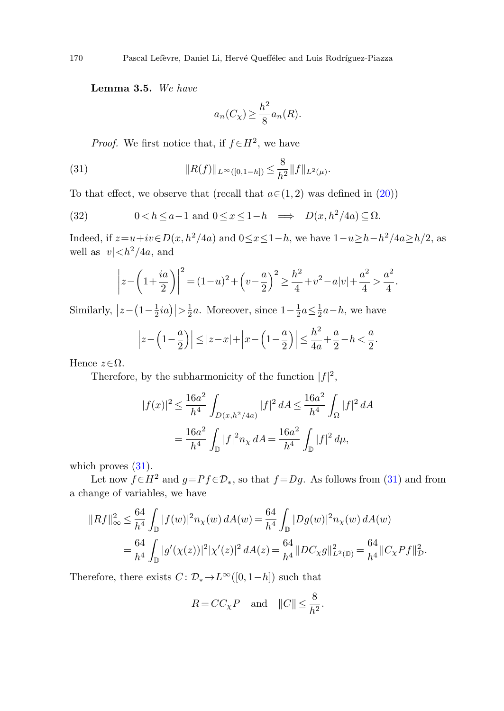<span id="page-15-1"></span><span id="page-15-0"></span>**Lemma 3***.***5.** We have

$$
a_n(C_{\chi}) \ge \frac{h^2}{8} a_n(R).
$$

*Proof.* We first notice that, if  $f \in H^2$ , we have

(31) 
$$
||R(f)||_{L^{\infty}([0,1-h])} \leq \frac{8}{h^2} ||f||_{L^2(\mu)}.
$$

To that effect, we observe that (recall that  $a \in (1, 2)$  was defined in  $(20)$  $(20)$ )

(32) 
$$
0 < h \le a - 1 \text{ and } 0 \le x \le 1 - h \implies D(x, h^2/4a) \subseteq \Omega.
$$

Indeed, if  $z=u+iv \in D(x, h^2/4a)$  and  $0 \le x \le 1-h$ , we have  $1-u \ge h-h^2/4a \ge h/2$ , as well as  $|v| < h^2/4a$ , and

$$
\left| z - \left( 1 + \frac{ia}{2} \right) \right|^2 = (1 - u)^2 + \left( v - \frac{a}{2} \right)^2 \ge \frac{h^2}{4} + v^2 - a|v| + \frac{a^2}{4} > \frac{a^2}{4}.
$$

Similarly,  $|z - (1 - \frac{1}{2}ia)| > \frac{1}{2}a$ . Moreover, since  $1 - \frac{1}{2}a \leq \frac{1}{2}a - h$ , we have

$$
\left| z - \left( 1 - \frac{a}{2} \right) \right| \le |z - x| + \left| x - \left( 1 - \frac{a}{2} \right) \right| \le \frac{h^2}{4a} + \frac{a}{2} - h < \frac{a}{2}.
$$

Hence  $z \in \Omega$ .

Therefore, by the subharmonicity of the function  $|f|^2$ ,

$$
|f(x)|^2 \le \frac{16a^2}{h^4} \int_{D(x,h^2/4a)} |f|^2 dA \le \frac{16a^2}{h^4} \int_{\Omega} |f|^2 dA
$$
  
= 
$$
\frac{16a^2}{h^4} \int_{\mathbb{D}} |f|^2 n_{\chi} dA = \frac{16a^2}{h^4} \int_{\mathbb{D}} |f|^2 d\mu,
$$

which proves  $(31)$  $(31)$ .

Let now  $f \in H^2$  and  $g = Pf \in \mathcal{D}_*$ , so that  $f = Dg$ . As follows from ([31\)](#page-15-0) and from a change of variables, we have

$$
||Rf||_{\infty}^{2} \leq \frac{64}{h^{4}} \int_{\mathbb{D}} |f(w)|^{2} n_{\chi}(w) dA(w) = \frac{64}{h^{4}} \int_{\mathbb{D}} |Dg(w)|^{2} n_{\chi}(w) dA(w)
$$
  
= 
$$
\frac{64}{h^{4}} \int_{\mathbb{D}} |g'( \chi(z))|^{2} | \chi'(z)|^{2} dA(z) = \frac{64}{h^{4}} ||DC_{\chi}g||_{L^{2}(\mathbb{D})}^{2} = \frac{64}{h^{4}} ||C_{\chi}Pf||_{\mathcal{D}}^{2}.
$$

Therefore, there exists  $C: \mathcal{D}_* \to L^{\infty}([0, 1-h])$  such that

$$
R = C C_{\chi} P \quad \text{and} \quad ||C|| \le \frac{8}{h^2}.
$$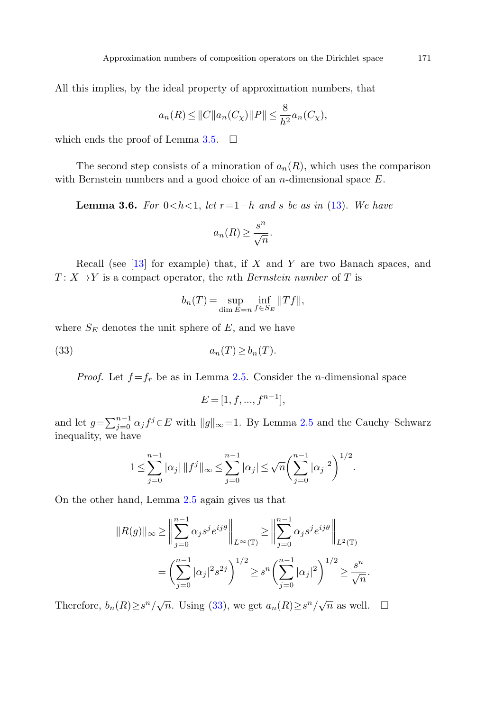<span id="page-16-0"></span>All this implies, by the ideal property of approximation numbers, that

$$
a_n(R) \le ||C||a_n(C_\chi)||P|| \le \frac{8}{h^2}a_n(C_\chi),
$$

which ends the proof of Lemma [3.5.](#page-15-1)  $\Box$ 

The second step consists of a minoration of  $a_n(R)$ , which uses the comparison with Bernstein numbers and a good choice of an  $n$ -dimensional space  $E$ .

**Lemma 3.6.** For  $0 < h < 1$ , let  $r = 1-h$  and s be as in ([13\)](#page-6-0). We have

$$
a_n(R) \ge \frac{s^n}{\sqrt{n}}.
$$

<span id="page-16-1"></span>Recall (see  $[13]$  $[13]$  for example) that, if X and Y are two Banach spaces, and  $T: X \rightarrow Y$  is a compact operator, the *n*th *Bernstein number* of T is

$$
b_n(T) = \sup_{\dim E = n} \inf_{f \in S_E} ||Tf||,
$$

where  $S_E$  denotes the unit sphere of  $E$ , and we have

$$
(33) \t\t\t a_n(T) \ge b_n(T).
$$

*Proof.* Let  $f = f_r$  be as in Lemma [2.5](#page-6-1). Consider the *n*-dimensional space

$$
E = [1, f, ..., f^{n-1}],
$$

and let  $g = \sum_{j=0}^{n-1} \alpha_j f^j \in E$  with  $||g||_{\infty} = 1$ . By Lemma [2.5](#page-6-1) and the Cauchy–Schwarz inequality, we have

$$
1 \leq \sum_{j=0}^{n-1} |\alpha_j| \, \|f^j\|_{\infty} \leq \sum_{j=0}^{n-1} |\alpha_j| \leq \sqrt{n} \left(\sum_{j=0}^{n-1} |\alpha_j|^2\right)^{1/2}.
$$

On the other hand, Lemma [2.5](#page-6-1) again gives us that

$$
||R(g)||_{\infty} \ge \left\| \sum_{j=0}^{n-1} \alpha_j s^j e^{ij\theta} \right\|_{L^{\infty}(\mathbb{T})} \ge \left\| \sum_{j=0}^{n-1} \alpha_j s^j e^{ij\theta} \right\|_{L^2(\mathbb{T})}
$$
  
= 
$$
\left( \sum_{j=0}^{n-1} |\alpha_j|^2 s^{2j} \right)^{1/2} \ge s^n \left( \sum_{j=0}^{n-1} |\alpha_j|^2 \right)^{1/2} \ge \frac{s^n}{\sqrt{n}}.
$$

Therefore,  $b_n(R) \geq s^n/\sqrt{n}$ . Using [\(33](#page-16-1)), we get  $a_n(R) \geq s^n/\sqrt{n}$  as well.  $\Box$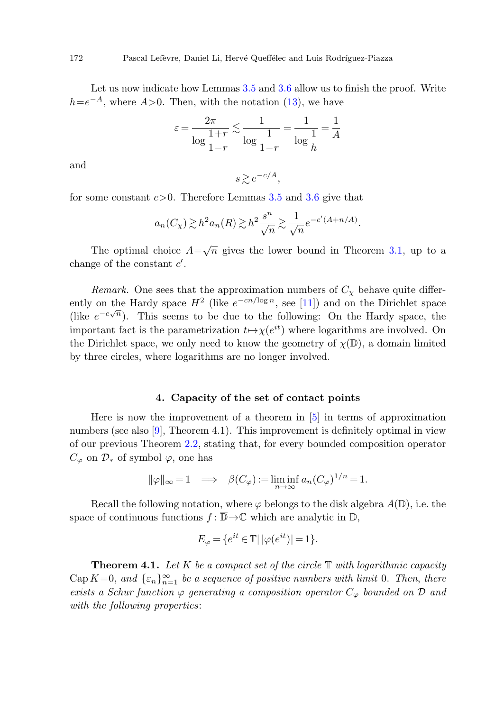Let us now indicate how Lemmas [3.5](#page-15-1) and [3.6](#page-16-0) allow us to finish the proof. Write  $h=e^{-A}$ , where  $A>0$ . Then, with the notation ([13\)](#page-6-0), we have

$$
\varepsilon = \frac{2\pi}{\log\frac{1+r}{1-r}} \lesssim \frac{1}{\log\frac{1}{1-r}} = \frac{1}{\log\frac{1}{h}} = \frac{1}{A}
$$

and

$$
s \gtrsim e^{-c/A},
$$

for some constant  $c>0$ . Therefore Lemmas [3.5](#page-15-1) and [3.6](#page-16-0) give that

$$
a_n(C_{\chi}) \gtrsim h^2 a_n(R) \gtrsim h^2 \frac{s^n}{\sqrt{n}} \gtrsim \frac{1}{\sqrt{n}} e^{-c'(A+n/A)}.
$$

The optimal choice  $A=\sqrt{n}$  gives the lower bound in Theorem [3.1,](#page-10-0) up to a change of the constant  $c'$ .

<span id="page-17-0"></span>Remark. One sees that the approximation numbers of  $C_{\chi}$  behave quite differently on the Hardy space  $H^2$  (like  $e^{-cn/\log n}$ , see [\[11](#page-19-4)]) and on the Dirichlet space (like  $e^{-c\sqrt{n}}$ ). This seems to be due to the following: On the Hardy space, the important fact is the parametrization  $t \mapsto \chi(e^{it})$  where logarithms are involved. On the Dirichlet space, we only need to know the geometry of  $\chi(\mathbb{D})$ , a domain limited by three circles, where logarithms are no longer involved.

#### **4. Capacity of the set of contact points**

Here is now the improvement of a theorem in [\[5](#page-19-1)] in terms of approximation numbers (see also [[9\]](#page-19-2), Theorem 4.1). This improvement is definitely optimal in view of our previous Theorem [2.2](#page-5-0), stating that, for every bounded composition operator  $C_{\varphi}$  on  $\mathcal{D}_{*}$  of symbol  $\varphi$ , one has

$$
\|\varphi\|_{\infty} = 1 \implies \beta(C_{\varphi}) := \liminf_{n \to \infty} a_n (C_{\varphi})^{1/n} = 1.
$$

<span id="page-17-1"></span>Recall the following notation, where  $\varphi$  belongs to the disk algebra  $A(\mathbb{D})$ , i.e. the space of continuous functions  $f: \overline{\mathbb{D}} \to \mathbb{C}$  which are analytic in  $\mathbb{D}$ ,

$$
E_{\varphi} = \{ e^{it} \in \mathbb{T} | \, |\varphi(e^{it})| = 1 \}.
$$

**Theorem 4.1.** Let  $K$  be a compact set of the circle  $T$  with logarithmic capacity Cap  $K=0$ , and  $\{\varepsilon_n\}_{n=1}^{\infty}$  be a sequence of positive numbers with limit 0. Then, there exists a Schur function  $\varphi$  generating a composition operator  $C_{\varphi}$  bounded on  $\mathcal D$  and with the following properties: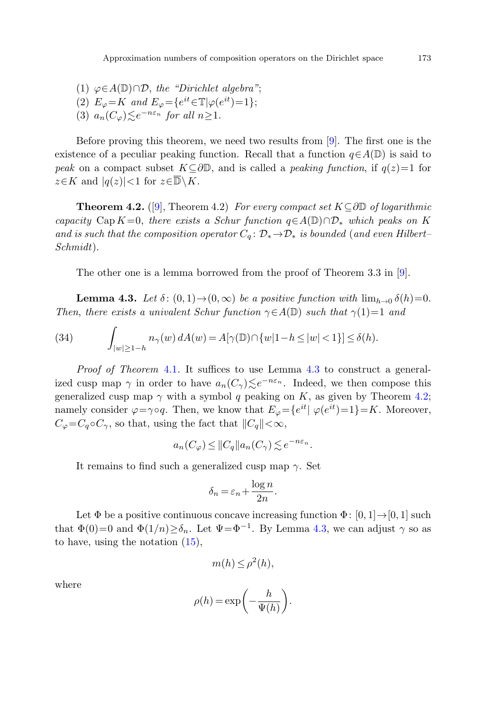<span id="page-18-1"></span>(1)  $\varphi \in A(\mathbb{D}) \cap \mathcal{D}$ , the "Dirichlet algebra"; (2)  $E_{\varphi} = K$  and  $E_{\varphi} = \{e^{it} \in \mathbb{T} | \varphi(e^{it}) = 1\};$ (3)  $a_n(C_\varphi) \leq e^{-n\varepsilon_n}$  for all  $n \geq 1$ .

Before proving this theorem, we need two results from [[9\]](#page-19-2). The first one is the existence of a peculiar peaking function. Recall that a function  $q \in A(\mathbb{D})$  is said to peak on a compact subset  $K\subseteq \partial\mathbb{D}$ , and is called a *peaking function*, if  $q(z)=1$  for  $z \in K$  and  $|q(z)| < 1$  for  $z \in \overline{\mathbb{D}} \setminus K$ .

<span id="page-18-0"></span>**Theorem 4.2.** ([[9\]](#page-19-2), Theorem 4.2) For every compact set  $K ⊂ ∂D$  of logarithmic capacity Cap K=0, there exists a Schur function  $q \in A(\mathbb{D}) \cap \mathcal{D}_{*}$  which peaks on K and is such that the composition operator  $C_q: \mathcal{D}_* \to \mathcal{D}_*$  is bounded (and even Hilbert– Schmidt).

The other one is a lemma borrowed from the proof of Theorem 3.3 in [\[9](#page-19-2)].

**Lemma 4.3.** Let  $\delta$ :  $(0,1) \rightarrow (0,\infty)$  be a positive function with  $\lim_{h\to 0} \delta(h)=0$ . Then, there exists a univalent Schur function  $\gamma \in A(\mathbb{D})$  such that  $\gamma(1)=1$  and

(34) 
$$
\int_{|w|\geq 1-h} n_{\gamma}(w) dA(w) = A[\gamma(\mathbb{D}) \cap \{w|1-h \leq |w| < 1\}] \leq \delta(h).
$$

Proof of Theorem [4.1](#page-17-1). It suffices to use Lemma [4.3](#page-18-0) to construct a generalized cusp map  $\gamma$  in order to have  $a_n(C_\gamma) \leq e^{-n\varepsilon_n}$ . Indeed, we then compose this generalized cusp map  $\gamma$  with a symbol q peaking on K, as given by Theorem [4.2;](#page-18-1) namely consider  $\varphi = \gamma \circ q$ . Then, we know that  $E_{\varphi} = \{e^{it} | \varphi(e^{it})=1\} = K$ . Moreover,  $C_{\varphi} = C_q \circ C_{\gamma}$ , so that, using the fact that  $||C_q|| < \infty$ ,

$$
a_n(C_\varphi) \leq ||C_q|| a_n(C_\gamma) \lesssim e^{-n\varepsilon_n}.
$$

It remains to find such a generalized cusp map  $\gamma$ . Set

$$
\delta_n = \varepsilon_n + \frac{\log n}{2n}.
$$

Let  $\Phi$  be a positive continuous concave increasing function  $\Phi: [0, 1] \rightarrow [0, 1]$  such that  $\Phi(0)=0$  and  $\Phi(1/n)\geq \delta_n$ . Let  $\Psi=\Phi^{-1}$ . By Lemma [4.3](#page-18-0), we can adjust  $\gamma$  so as to have, using the notation [\(15](#page-8-1)),

$$
m(h) \le \rho^2(h),
$$

where

$$
\rho(h) = \exp\bigg(-\frac{h}{\Psi(h)}\bigg).
$$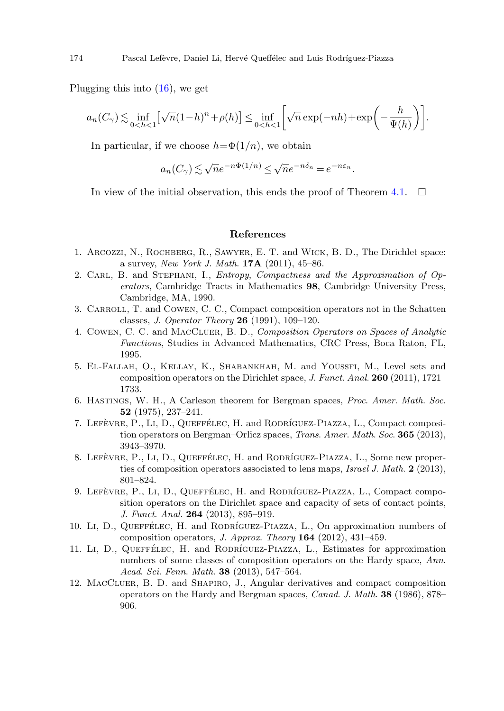Plugging this into ([16\)](#page-8-2), we get

$$
a_n(C_\gamma) \lesssim \inf_{0 < h < 1} \left[ \sqrt{n} (1-h)^n + \rho(h) \right] \le \inf_{0 < h < 1} \left[ \sqrt{n} \exp(-nh) + \exp\left(-\frac{h}{\Psi(h)}\right) \right].
$$

<span id="page-19-6"></span>In particular, if we choose  $h=\Phi(1/n)$ , we obtain

$$
a_n(C_\gamma) \lesssim \sqrt{n}e^{-n\Phi(1/n)} \le \sqrt{n}e^{-n\delta_n} = e^{-n\varepsilon_n}.
$$

<span id="page-19-5"></span>In view of the initial observation, this ends the proof of Theorem [4.1.](#page-17-1)  $\Box$ 

#### **References**

- <span id="page-19-9"></span><span id="page-19-0"></span>1. Arcozzi, N., Rochberg, R., Sawyer, E. T. and Wick, B. D., The Dirichlet space: a survey, New York J. Math. **17A** (2011), 45–86.
- <span id="page-19-1"></span>2. CARL, B. and STEPHANI, I., *Entropy, Compactness and the Approximation of Op*erators, Cambridge Tracts in Mathematics **98**, Cambridge University Press, Cambridge, MA, 1990.
- <span id="page-19-8"></span>3. Carroll, T. and Cowen, C. C., Compact composition operators not in the Schatten classes, J. Operator Theory **26** (1991), 109–120.
- <span id="page-19-10"></span>4. Cowen, C. C. and MacCluer, B. D., Composition Operators on Spaces of Analytic Functions, Studies in Advanced Mathematics, CRC Press, Boca Raton, FL, 1995.
- <span id="page-19-11"></span>5. El-Fallah, O., Kellay, K., Shabankhah, M. and Youssfi, M., Level sets and composition operators on the Dirichlet space, J. Funct. Anal. **260** (2011), 1721– 1733.
- <span id="page-19-2"></span>6. Hastings, W. H., A Carleson theorem for Bergman spaces, Proc. Amer. Math. Soc. **52** (1975), 237–241.
- <span id="page-19-3"></span>7. LEFÈVRE, P., LI, D., QUEFFÉLEC, H. and RODRÍGUEZ-PIAZZA, L., Compact composition operators on Bergman–Orlicz spaces, Trans. Amer. Math. Soc. **365** (2013), 3943–3970.
- <span id="page-19-4"></span>8. LEFÈVRE, P., LI, D., QUEFFÉLEC, H. and RODRÍGUEZ-PIAZZA, L., Some new properties of composition operators associated to lens maps, Israel J. Math. **2** (2013), 801–824.
- <span id="page-19-7"></span>9. LEFÈVRE, P., LI, D., QUEFFÉLEC, H. and RODRÍGUEZ-PIAZZA, L., Compact composition operators on the Dirichlet space and capacity of sets of contact points, J. Funct. Anal. **264** (2013), 895–919.
- 10. Li, D., QUEFFÉLEC, H. and RODRÍGUEZ-PIAZZA, L., On approximation numbers of composition operators, J. Approx. Theory **164** (2012), 431–459.
- 11. Li, D., QUEFFÉLEC, H. and RODRÍGUEZ-PIAZZA, L., Estimates for approximation numbers of some classes of composition operators on the Hardy space, Ann. Acad. Sci. Fenn. Math. **38** (2013), 547–564.
- 12. MacCluer, B. D. and Shapiro, J., Angular derivatives and compact composition operators on the Hardy and Bergman spaces, Canad. J. Math. **38** (1986), 878– 906.